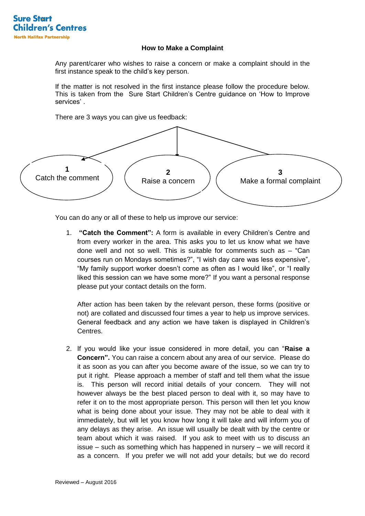

## **How to Make a Complaint**

Any parent/carer who wishes to raise a concern or make a complaint should in the first instance speak to the child's key person.

If the matter is not resolved in the first instance please follow the procedure below. This is taken from the Sure Start Children's Centre guidance on 'How to Improve services' .

There are 3 ways you can give us feedback:



You can do any or all of these to help us improve our service:

1. **"Catch the Comment":** A form is available in every Children's Centre and from every worker in the area. This asks you to let us know what we have done well and not so well. This is suitable for comments such as – "Can courses run on Mondays sometimes?", "I wish day care was less expensive", "My family support worker doesn't come as often as I would like", or "I really liked this session can we have some more?" If you want a personal response please put your contact details on the form.

After action has been taken by the relevant person, these forms (positive or not) are collated and discussed four times a year to help us improve services. General feedback and any action we have taken is displayed in Children's Centres.

2. If you would like your issue considered in more detail, you can "**Raise a Concern".** You can raise a concern about any area of our service. Please do it as soon as you can after you become aware of the issue, so we can try to put it right. Please approach a member of staff and tell them what the issue is. This person will record initial details of your concern. They will not however always be the best placed person to deal with it, so may have to refer it on to the most appropriate person. This person will then let you know what is being done about your issue. They may not be able to deal with it immediately, but will let you know how long it will take and will inform you of any delays as they arise. An issue will usually be dealt with by the centre or team about which it was raised. If you ask to meet with us to discuss an issue – such as something which has happened in nursery – we will record it as a concern. If you prefer we will not add your details; but we do record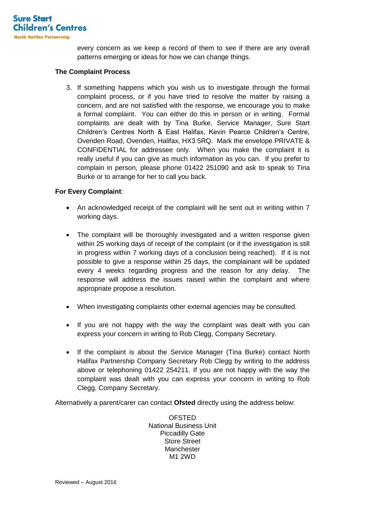

every concern as we keep a record of them to see if there are any overall patterns emerging or ideas for how we can change things.

## **The Complaint Process**

3. If something happens which you wish us to investigate through the formal complaint process, or if you have tried to resolve the matter by raising a concern, and are not satisfied with the response, we encourage you to make a formal complaint. You can either do this in person or in writing. Formal complaints are dealt with by Tina Burke, Service Manager, Sure Start Children's Centres North & East Halifax, Kevin Pearce Children's Centre, Ovenden Road, Ovenden, Halifax, HX3 5RQ. Mark the envelope PRIVATE & CONFIDENTIAL for addressee only. When you make the complaint it is really useful if you can give as much information as you can. If you prefer to complain in person, please phone 01422 251090 and ask to speak to Tina Burke or to arrange for her to call you back.

## **For Every Complaint**:

- An acknowledged receipt of the complaint will be sent out in writing within 7 working days.
- The complaint will be thoroughly investigated and a written response given within 25 working days of receipt of the complaint (or if the investigation is still in progress within 7 working days of a conclusion being reached). If it is not possible to give a response within 25 days, the complainant will be updated every 4 weeks regarding progress and the reason for any delay. The response will address the issues raised within the complaint and where appropriate propose a resolution.
- When investigating complaints other external agencies may be consulted.
- If you are not happy with the way the complaint was dealt with you can express your concern in writing to Rob Clegg, Company Secretary.
- If the complaint is about the Service Manager (Tina Burke) contact North Halifax Partnership Company Secretary Rob Clegg by writing to the address above or telephoning 01422 254211. If you are not happy with the way the complaint was dealt with you can express your concern in writing to Rob Clegg, Company Secretary.

Alternatively a parent/carer can contact **Ofsted** directly using the address below:

OFSTED National Business Unit Piccadilly Gate Store Street **Manchester** M1 2WD